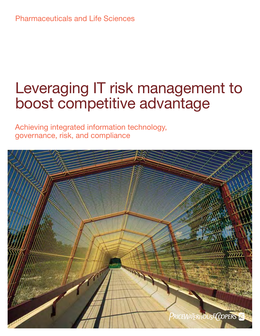# Leveraging IT risk management to boost competitive advantage

Achieving integrated information technology, governance, risk, and compliance

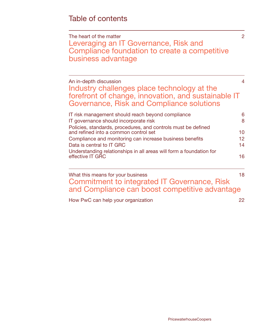[The heart of the matter](#page-3-0) 2 [Leveraging an IT Governance, Risk and](#page-3-0)  [Compliance foundation to create a competitive](#page-3-0)  [business advantage](#page-3-0)

[An in-depth discussion](#page-5-0) 4 [Industry challenges place technology at the](#page-5-0)  [forefront of change, innovation, and sustainable IT](#page-5-0)  [Governance, Risk and Compliance solutions](#page-5-0)

| IT risk management should reach beyond compliance                                                      | 6  |
|--------------------------------------------------------------------------------------------------------|----|
| IT governance should incorporate risk                                                                  | 8  |
| Policies, standards, procedures, and controls must be defined<br>and refined into a common control set | 10 |
| Compliance and monitoring can increase business benefits                                               | 12 |
| Data is central to IT GRC                                                                              | 14 |
| Understanding relationships in all areas will form a foundation for<br>effective IT GRC                | 16 |
|                                                                                                        |    |

[What this means for your business](#page-19-0) and the state of the 18

[Commitment to integrated IT Governance, Risk](#page-19-0)  [and Compliance can boost competitive advantage](#page-19-0)

[How PwC can help your organization](#page-23-0) 22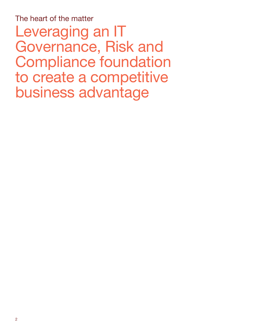<span id="page-3-0"></span>The heart of the matter Leveraging an IT Governance, Risk and Compliance foundation to create a competitive business advantage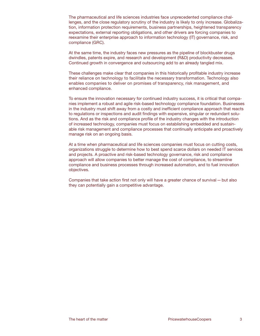The pharmaceutical and life sciences industries face unprecedented compliance challenges, and the close regulatory scrutiny of the industry is likely to only increase. Globalization, information protection requirements, business partnerships, heightened transparency expectations, external reporting obligations, and other drivers are forcing companies to reexamine their enterprise approach to information technology (IT) governance, risk, and compliance (GRC).

At the same time, the industry faces new pressures as the pipeline of blockbuster drugs dwindles, patents expire, and research and development (R&D) productivity decreases. Continued growth in convergence and outsourcing add to an already tangled mix.

These challenges make clear that companies in this historically profitable industry increase their reliance on technology to facilitate the necessary transformation. Technology also enables companies to deliver on promises of transparency, risk management, and enhanced compliance.

To ensure the innovation necessary for continued industry success, it is critical that companies implement a robust and agile risk-based technology compliance foundation. Businesses in the industry must shift away from a costly and inefficient compliance approach that reacts to regulations or inspections and audit findings with expensive, singular or redundant solutions. And as the risk and compliance profile of the industry changes with the introduction of increased technology, companies must focus on establishing embedded and sustainable risk management and compliance processes that continually anticipate and proactively manage risk on an ongoing basis.

At a time when pharmaceutical and life sciences companies must focus on cutting costs, organizations struggle to determine how to best spend scarce dollars on needed IT services and projects. A proactive and risk-based technology governance, risk and compliance approach will allow companies to better manage the cost of compliance, to streamline compliance and business processes through increased automation, and to fuel innovation objectives.

Companies that take action first not only will have a greater chance of survival—but also they can potentially gain a competitive advantage.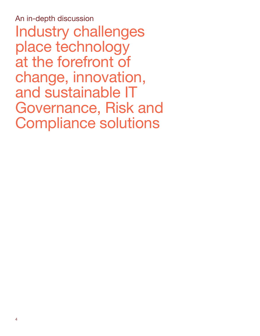<span id="page-5-0"></span>An in-depth discussion Industry challenges place technology at the forefront of change, innovation, and sustainable IT Governance, Risk and Compliance solutions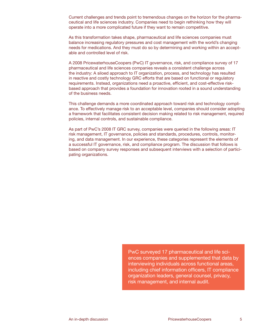Current challenges and trends point to tremendous changes on the horizon for the pharmaceutical and life sciences industry. Companies need to begin rethinking how they will operate into a more complicated future if they want to remain competitive.

As this transformation takes shape, pharmaceutical and life sciences companies must balance increasing regulatory pressures and cost management with the world's changing needs for medications. And they must do so by determining and working within an acceptable and controlled level of risk.

A 2008 PricewaterhouseCoopers (PwC) IT governance, risk, and compliance survey of 17 pharmaceutical and life sciences companies reveals a consistent challenge across the industry: A siloed approach to IT organization, process, and technology has resulted in reactive and costly technology GRC efforts that are based on functional or regulatory requirements. Instead, organizations need a proactive, efficient, and cost-effective riskbased approach that provides a foundation for innovation rooted in a sound understanding of the business needs.

This challenge demands a more coordinated approach toward risk and technology compliance. To effectively manage risk to an acceptable level, companies should consider adopting a framework that facilitates consistent decision making related to risk management, required policies, internal controls, and sustainable compliance.

As part of PwC's 2008 IT GRC survey, companies were queried in the following areas: IT risk management, IT governance, policies and standards, procedures, controls, monitoring, and data management. In our experience, these categories represent the elements of a successful IT governance, risk, and compliance program. The discussion that follows is based on company survey responses and subsequent interviews with a selection of participating organizations.

> PwC surveyed 17 pharmaceutical and life sciences companies and supplemented that data by interviewing individuals across functional areas, including chief information officers, IT compliance organization leaders, general counsel, privacy, risk management, and internal audit.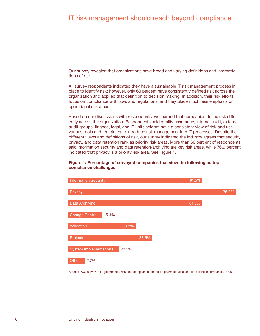# <span id="page-7-0"></span>IT risk management should reach beyond compliance

Our survey revealed that organizations have broad and varying definitions and interpretations of risk.

All survey respondents indicated they have a sustainable IT risk management process in place to identify risk; however, only 60 percent have consistently defined risk across the organization and applied that definition to decision making. In addition, their risk efforts focus on compliance with laws and regulations, and they place much less emphasis on operational risk areas.

Based on our discussions with respondents, we learned that companies define risk differently across the organization. Respondents said quality assurance, internal audit, external audit groups, finance, legal, and IT units seldom have a consistent view of risk and use various tools and templates to introduce risk management into IT processes. Despite the different views and definitions of risk, our survey indicated the industry agrees that security, privacy, and data retention rank as priority risk areas. More than 60 percent of respondents said information security and data retention/archiving are key risk areas, while 76.9 percent indicated that privacy is a priority risk area. See Figure 1.

# **Figure 1: Percentage of surveyed companies that view the following as top compliance challenges**



Source: PwC survey of IT governance, risk, and compliance among 17 pharmaceutical and life sciences companies, 2008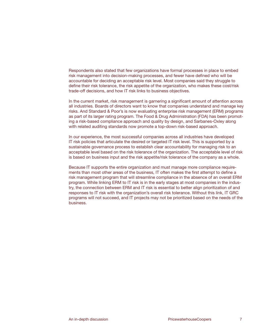Respondents also stated that few organizations have formal processes in place to embed risk management into decision-making processes, and fewer have defined who will be accountable for deciding an acceptable risk level. Most companies said they struggle to define their risk tolerance, the risk appetite of the organization, who makes these cost/risk trade-off decisions, and how IT risk links to business objectives.

In the current market, risk management is garnering a significant amount of attention across all industries. Boards of directors want to know that companies understand and manage key risks. And Standard & Poor's is now evaluating enterprise risk management (ERM) programs as part of its larger rating program. The Food & Drug Administration (FDA) has been promoting a risk-based compliance approach and quality by design, and Sarbanes-Oxley along with related auditing standards now promote a top-down risk-based approach.

In our experience, the most successful companies across all industries have developed IT risk policies that articulate the desired or targeted IT risk level. This is supported by a sustainable governance process to establish clear accountability for managing risk to an acceptable level based on the risk tolerance of the organization. The acceptable level of risk is based on business input and the risk appetite/risk tolerance of the company as a whole.

Because IT supports the entire organization and must manage more compliance requirements than most other areas of the business, IT often makes the first attempt to define a risk management program that will streamline compliance in the absence of an overall ERM program. While linking ERM to IT risk is in the early stages at most companies in the industry, the connection between ERM and IT risk is essential to better align prioritization of and responses to IT risk with the organization's overall risk tolerance. Without this link, IT GRC programs will not succeed, and IT projects may not be prioritized based on the needs of the business.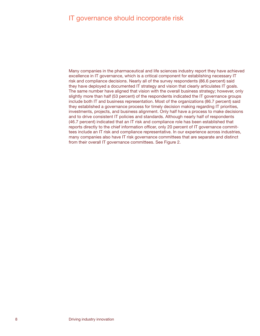# <span id="page-9-0"></span>IT governance should incorporate risk

Many companies in the pharmaceutical and life sciences industry report they have achieved excellence in IT governance, which is a critical component for establishing necessary IT risk and compliance decisions. Nearly all of the survey respondents (86.6 percent) said they have deployed a documented IT strategy and vision that clearly articulates IT goals. The same number have aligned that vision with the overall business strategy; however, only slightly more than half (53 percent) of the respondents indicated the IT governance groups include both IT and business representation. Most of the organizations (86.7 percent) said they established a governance process for timely decision making regarding IT priorities, investments, projects, and business alignment. Only half have a process to make decisions and to drive consistent IT policies and standards. Although nearly half of respondents (46.7 percent) indicated that an IT risk and compliance role has been established that reports directly to the chief information officer, only 20 percent of IT governance committees include an IT risk and compliance representative. In our experience across industries, many companies also have IT risk governance committees that are separate and distinct from their overall IT governance committees. See Figure 2.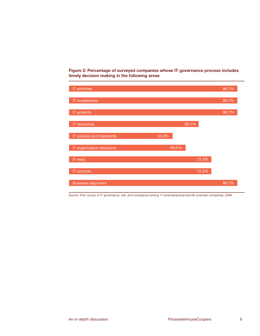**Figure 2: Percentage of surveyed companies whose IT governance process includes timely decision making in the following areas** 



Source: PwC survey of IT governance, risk, and compliance among 17 pharmaceutical and life sciences companies, 2008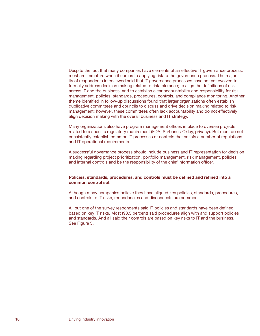<span id="page-11-0"></span>Despite the fact that many companies have elements of an effective IT governance process, most are immature when it comes to applying risk to the governance process. The majority of respondents interviewed said that IT governance processes have not yet evolved to formally address decision making related to risk tolerance; to align the definitions of risk across IT and the business; and to establish clear accountability and responsibility for risk management, policies, standards, procedures, controls, and compliance monitoring. Another theme identified in follow-up discussions found that larger organizations often establish duplicative committees and councils to discuss and drive decision making related to risk management; however, these committees often lack accountability and do not effectively align decision making with the overall business and IT strategy.

Many organizations also have program management offices in place to oversee projects related to a specific regulatory requirement (FDA, Sarbanes-Oxley, privacy). But most do not consistently establish common IT processes or controls that satisfy a number of regulations and IT operational requirements.

A successful governance process should include business and IT representation for decision making regarding project prioritization, portfolio management, risk management, policies, and internal controls and be the responsibility of the chief information officer.

# **Policies, standards, procedures, and controls must be defined and refined into a common control set**

Although many companies believe they have aligned key policies, standards, procedures, and controls to IT risks, redundancies and disconnects are common.

All but one of the survey respondents said IT policies and standards have been defined based on key IT risks. Most (93.3 percent) said procedures align with and support policies and standards. And all said their controls are based on key risks to IT and the business. See Figure 3.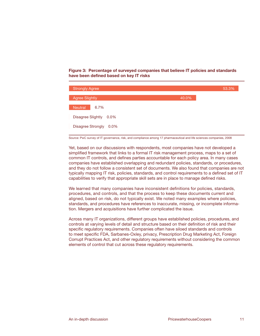**Figure 3: Percentage of surveyed companies that believe IT policies and standards have been defined based on key IT risks**



Source: PwC survey of IT governance, risk, and compliance among 17 pharmaceutical and life sciences companies, 2008

Yet, based on our discussions with respondents, most companies have not developed a simplified framework that links to a formal IT risk management process, maps to a set of common IT controls, and defines parties accountable for each policy area. In many cases companies have established overlapping and redundant policies, standards, or procedures, and they do not follow a consistent set of documents. We also found that companies are not typically mapping IT risk, policies, standards, and control requirements to a defined set of IT capabilities to verify that appropriate skill sets are in place to manage defined risks.

We learned that many companies have inconsistent definitions for policies, standards, procedures, and controls, and that the process to keep these documents current and aligned, based on risk, do not typically exist. We noted many examples where policies, standards, and procedures have references to inaccurate, missing, or incomplete information. Mergers and acquisitions have further complicated the issue.

Across many IT organizations, different groups have established policies, procedures, and controls at varying levels of detail and structure based on their definition of risk and their specific regulatory requirements. Companies often have siloed standards and controls to meet specific FDA, Sarbanes-Oxley, privacy, Prescription Drug Marketing Act, Foreign Corrupt Practices Act, and other regulatory requirements without considering the common elements of control that cut across these regulatory requirements.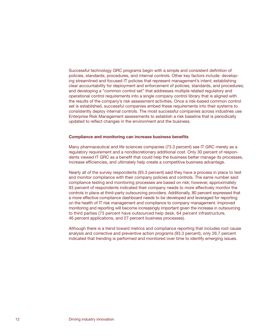<span id="page-13-0"></span>Successful technology GRC programs begin with a simple and consistent definition of policies, standards, procedures, and internal controls. Other key factors include: developing streamlined and focused IT policies that represent management's intent; establishing clear accountability for deployment and enforcement of policies, standards, and procedures; and developing a "common control set" that addresses multiple related regulatory and operational control requirements into a single company control library that is aligned with the results of the company's risk assessment activities. Once a risk-based common control set is established, successful companies embed these requirements into their systems to consistently deploy internal controls. The most successful companies across industries use Enterprise Risk Management assessments to establish a risk baseline that is periodically updated to reflect changes in the environment and the business.

#### **Compliance and monitoring can increase business benefits**

Many pharmaceutical and life sciences companies (73.3 percent) see IT GRC merely as a regulatory requirement and a nondiscretionary additional cost. Only 30 percent of respondents viewed IT GRC as a benefit that could help the business better manage its processes, increase efficiencies, and ultimately help create a competitive business advantage.

Nearly all of the survey respondents (93.3 percent) said they have a process in place to test and monitor compliance with their company policies and controls. The same number said compliance testing and monitoring processes are based on risk; however, approximately 93 percent of respondents indicated their company needs to more effectively monitor the controls in place at third-party outsourcing providers. Additionally, 80 percent expressed that a more effective compliance dashboard needs to be developed and leveraged for reporting on the health of IT risk management and compliance to company management. Improved monitoring and reporting will become increasingly important given the increase in outsourcing to third parties (73 percent have outsourced help desk, 64 percent infrastructure, 46 percent applications, and 27 percent business processes).

Although there is a trend toward metrics and compliance reporting that includes root cause analysis and corrective and preventive action programs (93.3 percent), only 26.7 percent indicated that trending is performed and monitored over time to identify emerging issues.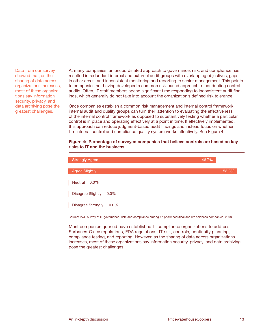Data from our survey showed that, as the sharing of data across organizations increases, most of these organizations say information security, privacy, and data archiving pose the greatest challenges.

At many companies, an uncoordinated approach to governance, risk, and compliance has resulted in redundant internal and external audit groups with overlapping objectives, gaps in other areas, and inconsistent monitoring and reporting to senior management. This points to companies not having developed a common risk-based approach to conducting control audits. Often, IT staff members spend significant time responding to inconsistent audit findings, which generally do not take into account the organization's defined risk tolerance.

Once companies establish a common risk management and internal control framework, internal audit and quality groups can turn their attention to evaluating the effectiveness of the internal control framework as opposed to substantively testing whether a particular control is in place and operating effectively at a point in time. If effectively implemented, this approach can reduce judgment-based audit findings and instead focus on whether IT's internal control and compliance quality system works effectively. See Figure 4.

# **Figure 4: Percentage of surveyed companies that believe controls are based on key risks to IT and the business**

| <b>Strongly Agree</b>               | 46.7% |       |
|-------------------------------------|-------|-------|
| <b>Agree Slightly</b>               |       | 53.3% |
| <b>Neutral</b><br>$0.0\%$           |       |       |
| <b>Disagree Slightly</b><br>$0.0\%$ |       |       |
| <b>Disagree Strongly</b><br>$0.0\%$ |       |       |

Source: PwC survey of IT governance, risk, and compliance among 17 pharmaceutical and life sciences companies, 2008

Most companies queried have established IT compliance organizations to address Sarbanes-Oxley regulations, FDA regulations, IT risk, controls, continuity planning, compliance testing, and reporting. However, as the sharing of data across organizations increases, most of these organizations say information security, privacy, and data archiving pose the greatest challenges.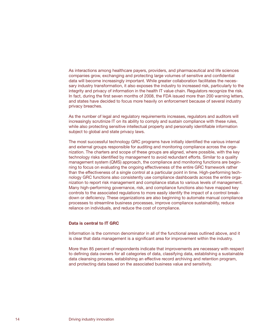<span id="page-15-0"></span>As interactions among healthcare payers, providers, and pharmaceutical and life sciences companies grow, exchanging and protecting large volumes of sensitive and confidential data will become increasingly important. While greater collaboration facilitates the necessary industry transformation, it also exposes the industry to increased risk, particularly to the integrity and privacy of information in the health IT value chain. Regulators recognize the risk. In fact, during the first seven months of 2008, the FDA issued more than 200 warning letters, and states have decided to focus more heavily on enforcement because of several industry privacy breaches.

As the number of legal and regulatory requirements increases, regulators and auditors will increasingly scrutinize IT on its ability to comply and sustain compliance with these rules, while also protecting sensitive intellectual property and personally identifiable information subject to global and state privacy laws.

The most successful technology GRC programs have initially identified the various internal and external groups responsible for auditing and monitoring compliance across the organization. The charters and scope of these groups are aligned, where possible, with the key technology risks identified by management to avoid redundant efforts. Similar to a quality management system (QMS) approach, the compliance and monitoring functions are beginning to focus on evaluating the ongoing effectiveness of the entire GRC framework rather than the effectiveness of a single control at a particular point in time. High-performing technology GRC functions also consistently use compliance dashboards across the entire organization to report risk management and compliance status to various levels of management. Many high-performing governance, risk, and compliance functions also have mapped key controls to the associated regulations to more easily identify the impact of a control breakdown or deficiency. These organizations are also beginning to automate manual compliance processes to streamline business processes, improve compliance sustainability, reduce reliance on individuals, and reduce the cost of compliance.

# **Data is central to IT GRC**

Information is the common denominator in all of the functional areas outlined above, and it is clear that data management is a significant area for improvement within the industry.

More than 85 percent of respondents indicate that improvements are necessary with respect to defining data owners for all categories of data, classifying data, establishing a sustainable data cleansing process, establishing an effective record archiving and retention program, and protecting data based on the associated business value and sensitivity.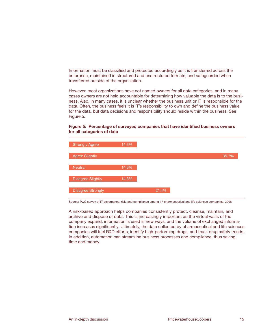Information must be classified and protected accordingly as it is transferred across the enterprise, maintained in structured and unstructured formats, and safeguarded when transferred outside of the organization.

However, most organizations have not named owners for all data categories, and in many cases owners are not held accountable for determining how valuable the data is to the business. Also, in many cases, it is unclear whether the business unit or IT is responsible for the data. Often, the business feels it is IT's responsibility to own and define the business value for the data, but data decisions and responsibility should reside within the business. See Figure 5.

# **Figure 5: Percentage of surveyed companies that have identified business owners for all categories of data**



Source: PwC survey of IT governance, risk, and compliance among 17 pharmaceutical and life sciences companies, 2008

A risk-based approach helps companies consistently protect, cleanse, maintain, and archive and dispose of data. This is increasingly important as the virtual walls of the company expand, information is used in new ways, and the volume of exchanged information increases significantly. Ultimately, the data collected by pharmaceutical and life sciences companies will fuel R&D efforts, identify high-performing drugs, and track drug safety trends. In addition, automation can streamline business processes and compliance, thus saving time and money.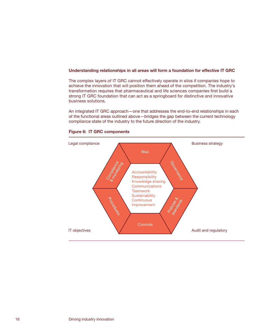### <span id="page-17-0"></span>**Understanding relationships in all areas will form a foundation for effective IT GRC**

The complex layers of IT GRC cannot effectively operate in silos if companies hope to achieve the innovation that will position them ahead of the competition. The industry's transformation requires that pharmaceutical and life sciences companies first build a strong IT GRC foundation that can act as a springboard for distinctive and innovative business solutions.

An integrated IT GRC approach—one that addresses the end-to-end relationships in each of the functional areas outlined above—bridges the gap between the current technology compliance state of the industry to the future direction of the industry.



# **Figure 6: IT GRC components**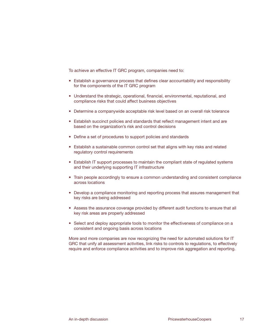To achieve an effective IT GRC program, companies need to:

- Establish a governance process that defines clear accountability and responsibility for the components of the IT GRC program
- Understand the strategic, operational, financial, environmental, reputational, and compliance risks that could affect business objectives
- Determine a companywide acceptable risk level based on an overall risk tolerance
- Establish succinct policies and standards that reflect management intent and are based on the organization's risk and control decisions
- Define a set of procedures to support policies and standards
- Establish a sustainable common control set that aligns with key risks and related regulatory control requirements
- Establish IT support processes to maintain the compliant state of regulated systems and their underlying supporting IT infrastructure
- Train people accordingly to ensure a common understanding and consistent compliance across locations
- Develop a compliance monitoring and reporting process that assures management that key risks are being addressed
- Assess the assurance coverage provided by different audit functions to ensure that all key risk areas are properly addressed
- Select and deploy appropriate tools to monitor the effectiveness of compliance on a consistent and ongoing basis across locations

More and more companies are now recognizing the need for automated solutions for IT GRC that unify all assessment activities, link risks to controls to regulations, to effectively require and enforce compliance activities and to improve risk aggregation and reporting.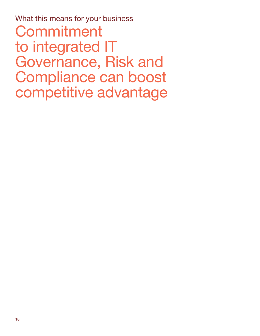<span id="page-19-0"></span>What this means for your business Commitment to integrated IT Governance, Risk and Compliance can boost competitive advantage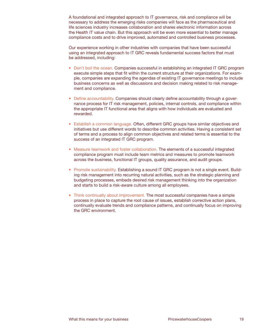A foundational and integrated approach to IT governance, risk and compliance will be necessary to address the emerging risks companies will face as the pharmaceutical and life sciences industry increases collaboration and shares electronic information across the Health IT value chain. But this approach will be even more essential to better manage compliance costs and to drive improved, automated and controlled business processes.

Our experience working in other industries with companies that have been successful using an integrated approach to IT GRC reveals fundamental success factors that must be addressed, including:

- Don't boil the ocean. Companies successful in establishing an integrated IT GRC program execute simple steps that fit within the current structure at their organizations. For example, companies are expanding the agendas of existing IT governance meetings to include business concerns as well as discussions and decision making related to risk management and compliance.
- Define accountability. Companies should clearly define accountability through a governance process for IT risk management, policies, internal controls, and compliance within the appropriate IT functional area that aligns with how individuals are evaluated and rewarded.
- Establish a common language. Often, different GRC groups have similar objectives and initiatives but use different words to describe common activities. Having a consistent set of terms and a process to align common objectives and related terms is essential to the success of an integrated IT GRC program.
- Measure teamwork and foster collaboration. The elements of a successful integrated compliance program must include team metrics and measures to promote teamwork across the business, functional IT groups, quality assurance, and audit groups.
- Promote sustainability. Establishing a sound IT GRC program is not a single event. Building risk management into recurring natural activities, such as the strategic planning and budgeting processes, embeds desired risk management thinking into the organization and starts to build a risk-aware culture among all employees.
- Think continually about improvement. The most successful companies have a simple process in place to capture the root cause of issues, establish corrective action plans, continually evaluate trends and compliance patterns, and continually focus on improving the GRC environment.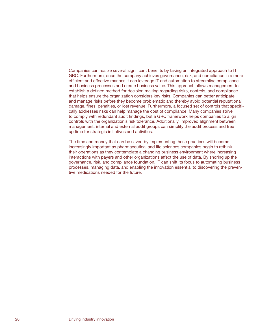Companies can realize several significant benefits by taking an integrated approach to IT GRC. Furthermore, once the company achieves governance, risk, and compliance in a more efficient and effective manner, it can leverage IT and automation to streamline compliance and business processes and create business value. This approach allows management to establish a defined method for decision making regarding risks, controls, and compliance that helps ensure the organization considers key risks. Companies can better anticipate and manage risks before they become problematic and thereby avoid potential reputational damage, fines, penalties, or lost revenue. Furthermore, a focused set of controls that specifically addresses risks can help manage the cost of compliance. Many companies strive to comply with redundant audit findings, but a GRC framework helps companies to align controls with the organization's risk tolerance. Additionally, improved alignment between management, internal and external audit groups can simplify the audit process and free up time for strategic initiatives and activities.

The time and money that can be saved by implementing these practices will become increasingly important as pharmaceutical and life sciences companies begin to rethink their operations as they contemplate a changing business environment where increasing interactions with payers and other organizations affect the use of data. By shoring up the governance, risk, and compliance foundation, IT can shift its focus to automating business processes, managing data, and enabling the innovation essential to discovering the preventive medications needed for the future.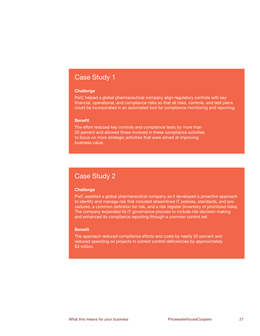# Case Study 1

## **Challenge**

PwC helped a global pharmaceutical company align regulatory controls with key financial, operational, and compliance risks so that all risks, controls, and test plans could be incorporated in an automated tool for compliance monitoring and reporting.

# **Benefit**

The effort reduced key controls and compliance tests by more than 50 percent and allowed those involved in these compliance activities to focus on more strategic activities that were aimed at improving business value.

# Case Study 2

## **Challenge**

PwC assisted a global pharmaceutical company as it developed a proactive approach to identify and manage risk that included streamlined IT policies, standards, and procedures, a common definition for risk, and a risk register (inventory of prioritized risks). The company expanded its IT governance process to include risk decision making and enhanced its compliance reporting through a common control set.

#### **Benefit**

The approach reduced compliance efforts and costs by nearly 50 percent and reduced spending on projects to correct control deficiencies by approximately \$3 million.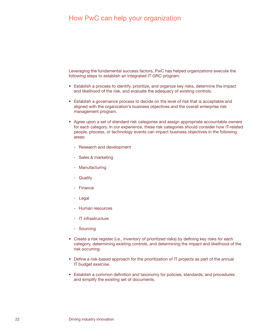<span id="page-23-0"></span>Leveraging the fundamental success factors, PwC has helped organizations execute the following steps to establish an integrated IT GRC program:

- Establish a process to identify, prioritize, and organize key risks, determine the impact and likelihood of the risk, and evaluate the adequacy of existing controls.
- Establish a governance process to decide on the level of risk that is acceptable and aligned with the organization's business objectives and the overall enterprise risk management program.
- Agree upon a set of standard risk categories and assign appropriate accountable owners for each category. In our experience, these risk categories should consider how IT-related people, process, or technology events can impact business objectives in the following areas:
	- Research and development
	- Sales & marketing
	- Manufacturing
	- Quality
	- Finance
	- Legal
	- Human resources
	- IT infrastructure
	- Sourcing
- Create a risk register (i.e., inventory of prioritized risks) by defining key risks for each category, determining existing controls, and determining the impact and likelihood of the risk occurring.
- Define a risk-based approach for the prioritization of IT projects as part of the annual IT budget exercise.
- Establish a common definition and taxonomy for policies, standards, and procedures and simplify the existing set of documents.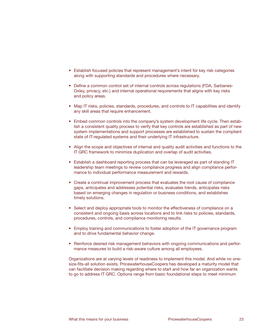- Establish focused policies that represent management's intent for key risk categories along with supporting standards and procedures where necessary.
- Define a common control set of internal controls across regulations (FDA, Sarbanes-Oxley, privacy, etc.) and internal operational requirements that aligns with key risks and policy areas.
- Map IT risks, policies, standards, procedures, and controls to IT capabilities and identify any skill areas that require enhancement.
- Embed common controls into the company's system development life cycle. Then establish a consistent quality process to verify that key controls are established as part of new system implementations and support processes are established to sustain the compliant state of IT-regulated systems and their underlying IT infrastructure.
- Align the scope and objectives of internal and quality audit activities and functions to the IT GRC framework to minimize duplication and overlap of audit activities.
- Establish a dashboard reporting process that can be leveraged as part of standing IT leadership team meetings to review compliance progress and align compliance performance to individual performance measurement and rewards.
- Create a continual improvement process that evaluates the root cause of compliance gaps, anticipates and addresses potential risks, evaluates trends, anticipates risks based on emerging changes in regulation or business conditions, and establishes timely solutions.
- Select and deploy appropriate tools to monitor the effectiveness of compliance on a consistent and ongoing basis across locations and to link risks to policies, standards, procedures, controls, and compliance monitoring results.
- Employ training and communications to foster adoption of the IT governance program and to drive fundamental behavior change.
- Reinforce desired risk management behaviors with ongoing communications and performance measures to build a risk-aware culture among all employees.

Organizations are at varying levels of readiness to implement this model. And while no onesize-fits-all solution exists, PricewaterhouseCoopers has developed a maturity model that can facilitate decision making regarding where to start and how far an organization wants to go to address IT GRC. Options range from basic foundational steps to meet minimum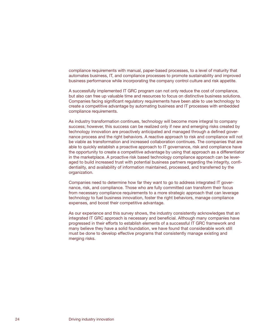compliance requirements with manual, paper-based processes, to a level of maturity that automates business, IT, and compliance processes to promote sustainability and improved business performance while incorporating the company control culture and risk appetite.

A successfully implemented IT GRC program can not only reduce the cost of compliance, but also can free up valuable time and resources to focus on distinctive business solutions. Companies facing significant regulatory requirements have been able to use technology to create a competitive advantage by automating business and IT processes with embedded compliance requirements.

As industry transformation continues, technology will become more integral to company success; however, this success can be realized only if new and emerging risks created by technology innovation are proactively anticipated and managed through a defined governance process and the right behaviors. A reactive approach to risk and compliance will not be viable as transformation and increased collaboration continues. The companies that are able to quickly establish a proactive approach to IT governance, risk and compliance have the opportunity to create a competitive advantage by using that approach as a differentiator in the marketplace. A proactive risk based technology compliance approach can be leveraged to build increased trust with potential business partners regarding the integrity, confidentiality, and availability of information maintained, processed, and transferred by the organization.

Companies need to determine how far they want to go to address integrated IT governance, risk, and compliance. Those who are fully committed can transform their focus from necessary compliance requirements to a more strategic approach that can leverage technology to fuel business innovation, foster the right behaviors, manage compliance expenses, and boost their competitive advantage.

As our experience and this survey shows, the industry consistently acknowledges that an integrated IT GRC approach is necessary and beneficial. Although many companies have progressed in their efforts to establish elements of a successful IT GRC framework and many believe they have a solid foundation, we have found that considerable work still must be done to develop effective programs that consistently manage existing and merging risks.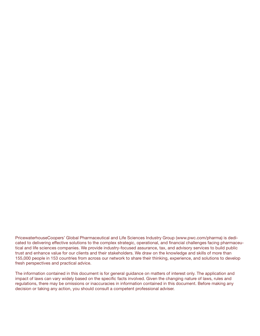PricewaterhouseCoopers' Global Pharmaceutical and Life Sciences Industry Group ([www.pwc.com/pharma](http://www.pwc.com/pharma)) is dedicated to delivering effective solutions to the complex strategic, operational, and financial challenges facing pharmaceutical and life sciences companies. We provide industry-focused assurance, tax, and advisory services to build public trust and enhance value for our clients and their stakeholders. We draw on the knowledge and skills of more than 155,000 people in 153 countries from across our network to share their thinking, experience, and solutions to develop fresh perspectives and practical advice.

The information contained in this document is for general guidance on matters of interest only. The application and impact of laws can vary widely based on the specific facts involved. Given the changing nature of laws, rules and regulations, there may be omissions or inaccuracies in information contained in this document. Before making any decision or taking any action, you should consult a competent professional adviser.